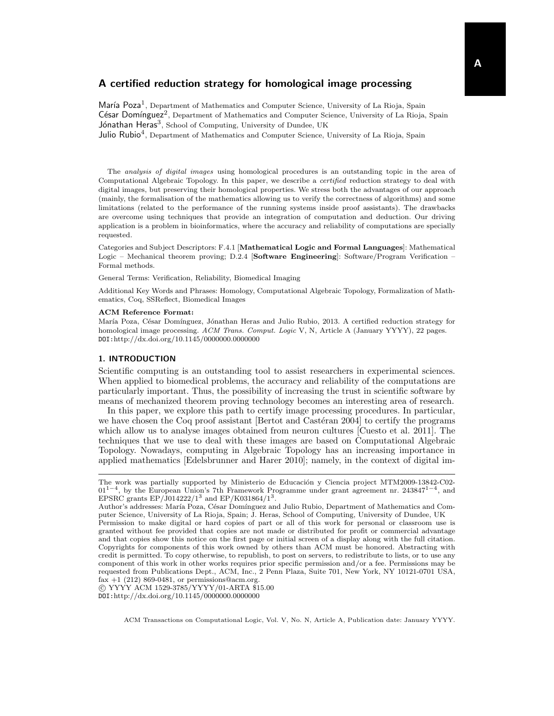María Poza<sup>1</sup>, Department of Mathematics and Computer Science, University of La Rioja, Spain César Domínguez<sup>2</sup>, Department of Mathematics and Computer Science, University of La Rioja, Spain Jónathan Heras<sup>3</sup>, School of Computing, University of Dundee, UK

Julio Rubio<sup>4</sup>, Department of Mathematics and Computer Science, University of La Rioja, Spain

The analysis of digital images using homological procedures is an outstanding topic in the area of Computational Algebraic Topology. In this paper, we describe a certified reduction strategy to deal with digital images, but preserving their homological properties. We stress both the advantages of our approach (mainly, the formalisation of the mathematics allowing us to verify the correctness of algorithms) and some limitations (related to the performance of the running systems inside proof assistants). The drawbacks are overcome using techniques that provide an integration of computation and deduction. Our driving application is a problem in bioinformatics, where the accuracy and reliability of computations are specially requested.

Categories and Subject Descriptors: F.4.1 [Mathematical Logic and Formal Languages]: Mathematical Logic – Mechanical theorem proving; D.2.4 [Software Engineering]: Software/Program Verification – Formal methods.

General Terms: Verification, Reliability, Biomedical Imaging

Additional Key Words and Phrases: Homology, Computational Algebraic Topology, Formalization of Mathematics, Coq, SSReflect, Biomedical Images

### ACM Reference Format:

María Poza, César Domínguez, Jónathan Heras and Julio Rubio, 2013. A certified reduction strategy for homological image processing. ACM Trans. Comput. Logic V, N, Article A (January YYYY), 22 pages. DOI:http://dx.doi.org/10.1145/0000000.0000000

## 1. INTRODUCTION

Scientific computing is an outstanding tool to assist researchers in experimental sciences. When applied to biomedical problems, the accuracy and reliability of the computations are particularly important. Thus, the possibility of increasing the trust in scientific software by means of mechanized theorem proving technology becomes an interesting area of research.

In this paper, we explore this path to certify image processing procedures. In particular, we have chosen the Coq proof assistant  $\left[ \text{Bertot and Castéran } 2004 \right]$  to certify the programs which allow us to analyse images obtained from neuron cultures [\[Cuesto et al. 2011\]](#page-20-1). The techniques that we use to deal with these images are based on Computational Algebraic Topology. Nowadays, computing in Algebraic Topology has an increasing importance in applied mathematics [\[Edelsbrunner and Harer 2010\]](#page-20-2); namely, in the context of digital im-

 c YYYY ACM 1529-3785/YYYY/01-ARTA \$15.00 DOI:http://dx.doi.org/10.1145/0000000.0000000

The work was partially supported by Ministerio de Educación y Ciencia project MTM2009-13842-C02-01<sup>1-4</sup>, by the European Union's 7th Framework Programme under grant agreement nr. 243847<sup>1-4</sup>, and EPSRC grants  $EP/J014222/1^3$  and  $EP/K031864/1^3$ .

Author's addresses: María Poza, César Domínguez and Julio Rubio, Department of Mathematics and Computer Science, University of La Rioja, Spain; J. Heras, School of Computing, University of Dundee, UK Permission to make digital or hard copies of part or all of this work for personal or classroom use is granted without fee provided that copies are not made or distributed for profit or commercial advantage and that copies show this notice on the first page or initial screen of a display along with the full citation. Copyrights for components of this work owned by others than ACM must be honored. Abstracting with credit is permitted. To copy otherwise, to republish, to post on servers, to redistribute to lists, or to use any component of this work in other works requires prior specific permission and/or a fee. Permissions may be requested from Publications Dept., ACM, Inc., 2 Penn Plaza, Suite 701, New York, NY 10121-0701 USA, fax  $+1$  (212) 869-0481, or permissions@acm.org.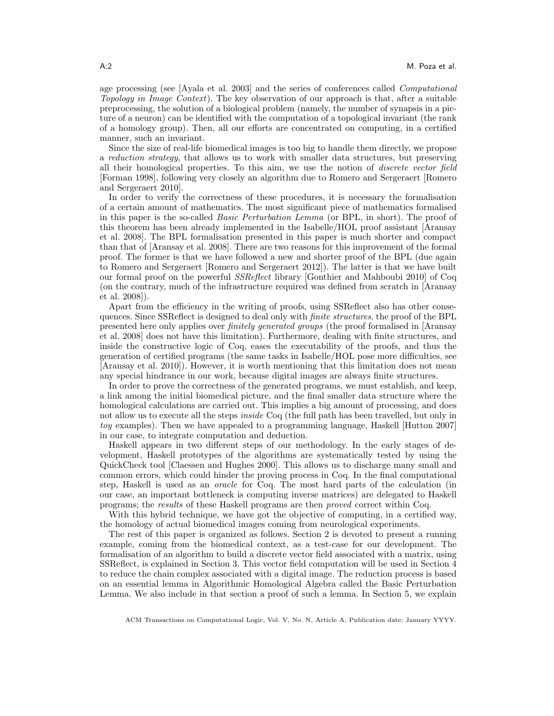age processing (see [\[Ayala et al. 2003\]](#page-20-3) and the series of conferences called Computational Topology in Image Context). The key observation of our approach is that, after a suitable preprocessing, the solution of a biological problem (namely, the number of synapsis in a picture of a neuron) can be identified with the computation of a topological invariant (the rank of a homology group). Then, all our efforts are concentrated on computing, in a certified manner, such an invariant.

Since the size of real-life biomedical images is too big to handle them directly, we propose a reduction strategy, that allows us to work with smaller data structures, but preserving all their homological properties. To this aim, we use the notion of discrete vector field [\[Forman 1998\]](#page-20-4), following very closely an algorithm due to Romero and Sergeraert [\[Romero](#page-21-0) [and Sergeraert 2010\]](#page-21-0).

In order to verify the correctness of these procedures, it is necessary the formalisation of a certain amount of mathematics. The most significant piece of mathematics formalised in this paper is the so-called Basic Perturbation Lemma (or BPL, in short). The proof of this theorem has been already implemented in the Isabelle/HOL proof assistant [\[Aransay](#page-20-5) [et al. 2008\]](#page-20-5). The BPL formalisation presented in this paper is much shorter and compact than that of [\[Aransay et al. 2008\]](#page-20-5). There are two reasons for this improvement of the formal proof. The former is that we have followed a new and shorter proof of the BPL (due again to Romero and Sergeraert [\[Romero and Sergeraert 2012\]](#page-21-1)). The latter is that we have built our formal proof on the powerful SSReflect library [\[Gonthier and Mahboubi 2010\]](#page-20-6) of Coq (on the contrary, much of the infrastructure required was defined from scratch in [\[Aransay](#page-20-5) [et al. 2008\]](#page-20-5)).

Apart from the efficiency in the writing of proofs, using SSReflect also has other consequences. Since SSReflect is designed to deal only with *finite structures*, the proof of the BPL presented here only applies over finitely generated groups (the proof formalised in [\[Aransay](#page-20-5) [et al. 2008\]](#page-20-5) does not have this limitation). Furthermore, dealing with finite structures, and inside the constructive logic of Coq, eases the executability of the proofs, and thus the generation of certified programs (the same tasks in Isabelle/HOL pose more difficulties, see [\[Aransay et al. 2010\]](#page-20-7)). However, it is worth mentioning that this limitation does not mean any special hindrance in our work, because digital images are always finite structures.

In order to prove the correctness of the generated programs, we must establish, and keep, a link among the initial biomedical picture, and the final smaller data structure where the homological calculations are carried out. This implies a big amount of processing, and does not allow us to execute all the steps *inside* Coq (the full path has been travelled, but only in toy examples). Then we have appealed to a programming language, Haskell [\[Hutton 2007\]](#page-21-2) in our case, to integrate computation and deduction.

Haskell appears in two different steps of our methodology. In the early stages of development, Haskell prototypes of the algorithms are systematically tested by using the QuickCheck tool [\[Claessen and Hughes 2000\]](#page-20-8). This allows us to discharge many small and common errors, which could hinder the proving process in Coq. In the final computational step, Haskell is used as an oracle for Coq. The most hard parts of the calculation (in our case, an important bottleneck is computing inverse matrices) are delegated to Haskell programs; the results of these Haskell programs are then proved correct within Coq.

With this hybrid technique, we have got the objective of computing, in a certified way, the homology of actual biomedical images coming from neurological experiments.

The rest of this paper is organized as follows. Section [2](#page-2-0) is devoted to present a running example, coming from the biomedical context, as a test-case for our development. The formalisation of an algorithm to build a discrete vector field associated with a matrix, using SSReflect, is explained in Section [3.](#page-3-0) This vector field computation will be used in Section [4](#page-10-0) to reduce the chain complex associated with a digital image. The reduction process is based on an essential lemma in Algorithmic Homological Algebra called the Basic Perturbation Lemma. We also include in that section a proof of such a lemma. In Section [5,](#page-18-0) we explain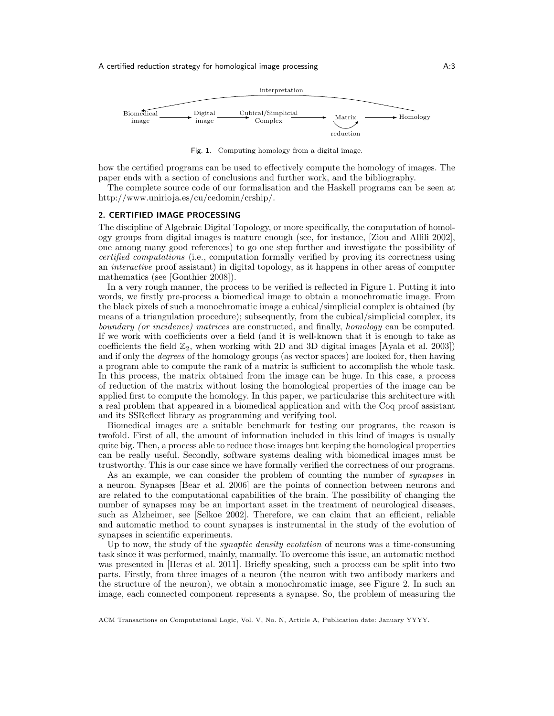

<span id="page-2-1"></span>Fig. 1. Computing homology from a digital image.

how the certified programs can be used to effectively compute the homology of images. The paper ends with a section of conclusions and further work, and the bibliography.

The complete source code of our formalisation and the Haskell programs can be seen at [http://www.unirioja.es/cu/cedomin/crship/.](http://www.unirioja.es/cu/cedomin/crship/)

### <span id="page-2-0"></span>2. CERTIFIED IMAGE PROCESSING

The discipline of Algebraic Digital Topology, or more specifically, the computation of homology groups from digital images is mature enough (see, for instance, [\[Ziou and Allili 2002\]](#page-21-3), one among many good references) to go one step further and investigate the possibility of certified computations (i.e., computation formally verified by proving its correctness using an interactive proof assistant) in digital topology, as it happens in other areas of computer mathematics (see [\[Gonthier 2008\]](#page-20-9)).

In a very rough manner, the process to be verified is reflected in Figure [1.](#page-2-1) Putting it into words, we firstly pre-process a biomedical image to obtain a monochromatic image. From the black pixels of such a monochromatic image a cubical/simplicial complex is obtained (by means of a triangulation procedure); subsequently, from the cubical/simplicial complex, its boundary (or incidence) matrices are constructed, and finally, homology can be computed. If we work with coefficients over a field (and it is well-known that it is enough to take as coefficients the field  $\mathbb{Z}_2$ , when working with 2D and 3D digital images [\[Ayala et al. 2003\]](#page-20-3)) and if only the degrees of the homology groups (as vector spaces) are looked for, then having a program able to compute the rank of a matrix is sufficient to accomplish the whole task. In this process, the matrix obtained from the image can be huge. In this case, a process of reduction of the matrix without losing the homological properties of the image can be applied first to compute the homology. In this paper, we particularise this architecture with a real problem that appeared in a biomedical application and with the Coq proof assistant and its SSReflect library as programming and verifying tool.

Biomedical images are a suitable benchmark for testing our programs, the reason is twofold. First of all, the amount of information included in this kind of images is usually quite big. Then, a process able to reduce those images but keeping the homological properties can be really useful. Secondly, software systems dealing with biomedical images must be trustworthy. This is our case since we have formally verified the correctness of our programs.

As an example, we can consider the problem of counting the number of synapses in a neuron. Synapses [\[Bear et al. 2006\]](#page-20-10) are the points of connection between neurons and are related to the computational capabilities of the brain. The possibility of changing the number of synapses may be an important asset in the treatment of neurological diseases, such as Alzheimer, see [\[Selkoe 2002\]](#page-21-4). Therefore, we can claim that an efficient, reliable and automatic method to count synapses is instrumental in the study of the evolution of synapses in scientific experiments.

Up to now, the study of the synaptic density evolution of neurons was a time-consuming task since it was performed, mainly, manually. To overcome this issue, an automatic method was presented in [\[Heras et al. 2011\]](#page-21-5). Briefly speaking, such a process can be split into two parts. Firstly, from three images of a neuron (the neuron with two antibody markers and the structure of the neuron), we obtain a monochromatic image, see Figure [2.](#page-3-1) In such an image, each connected component represents a synapse. So, the problem of measuring the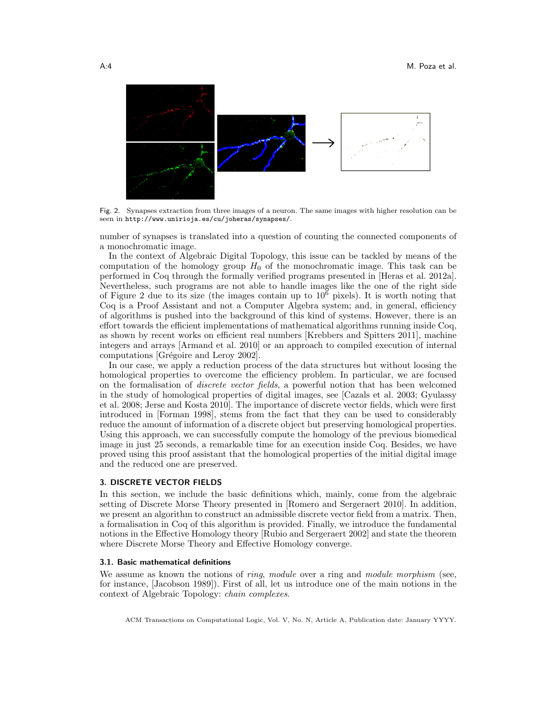

<span id="page-3-1"></span>Fig. 2. Synapses extraction from three images of a neuron. The same images with higher resolution can be seen in http://www.unirioja.es/cu/joheras/synapses/.

number of synapses is translated into a question of counting the connected components of a monochromatic image.

In the context of Algebraic Digital Topology, this issue can be tackled by means of the computation of the homology group  $H_0$  of the monochromatic image. This task can be performed in Coq through the formally verified programs presented in [\[Heras et al. 2012a\]](#page-21-6). Nevertheless, such programs are not able to handle images like the one of the right side of Figure [2](#page-3-1) due to its size (the images contain up to  $10^6$  pixels). It is worth noting that Coq is a Proof Assistant and not a Computer Algebra system; and, in general, efficiency of algorithms is pushed into the background of this kind of systems. However, there is an effort towards the efficient implementations of mathematical algorithms running inside Coq, as shown by recent works on efficient real numbers [\[Krebbers and Spitters 2011\]](#page-21-7), machine integers and arrays [\[Armand et al. 2010\]](#page-20-11) or an approach to compiled execution of internal computations [Grégoire and Leroy 2002].

In our case, we apply a reduction process of the data structures but without loosing the homological properties to overcome the efficiency problem. In particular, we are focused on the formalisation of discrete vector fields, a powerful notion that has been welcomed in the study of homological properties of digital images, see [\[Cazals et al. 2003;](#page-20-12) [Gyulassy](#page-21-9) [et al. 2008;](#page-21-9) [Jerse and Kosta 2010\]](#page-21-10). The importance of discrete vector fields, which were first introduced in [\[Forman 1998\]](#page-20-4), stems from the fact that they can be used to considerably reduce the amount of information of a discrete object but preserving homological properties. Using this approach, we can successfully compute the homology of the previous biomedical image in just 25 seconds, a remarkable time for an execution inside Coq. Besides, we have proved using this proof assistant that the homological properties of the initial digital image and the reduced one are preserved.

## <span id="page-3-0"></span>3. DISCRETE VECTOR FIELDS

In this section, we include the basic definitions which, mainly, come from the algebraic setting of Discrete Morse Theory presented in [\[Romero and Sergeraert 2010\]](#page-21-0). In addition, we present an algorithm to construct an admissible discrete vector field from a matrix. Then, a formalisation in Coq of this algorithm is provided. Finally, we introduce the fundamental notions in the Effective Homology theory [\[Rubio and Sergeraert 2002\]](#page-21-11) and state the theorem where Discrete Morse Theory and Effective Homology converge.

### 3.1. Basic mathematical definitions

We assume as known the notions of *ring, module* over a ring and *module morphism* (see, for instance, [\[Jacobson 1989\]](#page-21-12)). First of all, let us introduce one of the main notions in the context of Algebraic Topology: chain complexes.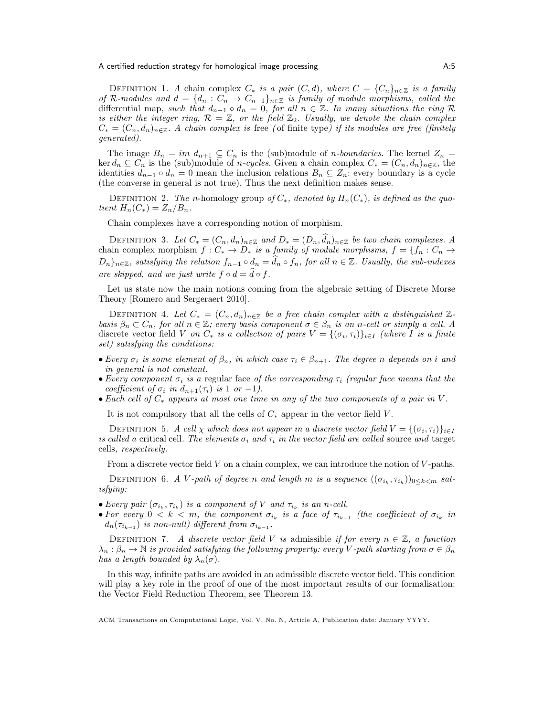DEFINITION 1. A chain complex  $C_*$  is a pair  $(C, d)$ , where  $C = \{C_n\}_{n \in \mathbb{Z}}$  is a family of R-modules and  $d = \{d_n : C_n \to C_{n-1}\}_{n \in \mathbb{Z}}$  is family of module morphisms, called the differential map, such that  $d_{n-1} \circ d_n = 0$ , for all  $n \in \mathbb{Z}$ . In many situations the ring R is either the integer ring,  $\mathcal{R} = \mathbb{Z}$ , or the field  $\mathbb{Z}_2$ . Usually, we denote the chain complex  $C_* = (C_n, d_n)_{n \in \mathbb{Z}}$ . A chain complex is free (of finite type) if its modules are free (finitely generated).

The image  $B_n = im d_{n+1} \subseteq C_n$  is the (sub)module of *n*-boundaries. The kernel  $Z_n =$ ker  $d_n \nsubseteq C_n$  is the (sub)module of *n-cycles*. Given a chain complex  $C_* = (C_n, d_n)_{n \in \mathbb{Z}}$ , the identities  $d_{n-1} \circ d_n = 0$  mean the inclusion relations  $B_n \subseteq Z_n$ : every boundary is a cycle (the converse in general is not true). Thus the next definition makes sense.

DEFINITION 2. The n-homology group of  $C_*$ , denoted by  $H_n(C_*)$ , is defined as the quotient  $H_n(C_*)=Z_n/B_n$ .

Chain complexes have a corresponding notion of morphism.

DEFINITION 3. Let  $C_* = (C_n, d_n)_{n \in \mathbb{Z}}$  and  $D_* = (D_n, \widehat{d}_n)_{n \in \mathbb{Z}}$  be two chain complexes. A chain complex morphism  $f : C_* \to D_*$  is a family of module morphisms,  $f = \{f_n : C_n \to D_*\}$  $D_n\}_{n\in\mathbb{Z}}$ , satisfying the relation  $f_{n-1}\circ d_n = d_n\circ f_n$ , for all  $n\in\mathbb{Z}$ . Usually, the sub-indexes are skipped, and we just write  $f \circ d = \hat{d} \circ f$ .

Let us state now the main notions coming from the algebraic setting of Discrete Morse Theory [\[Romero and Sergeraert 2010\]](#page-21-0).

DEFINITION 4. Let  $C_* = (C_n, d_n)_{n \in \mathbb{Z}}$  be a free chain complex with a distinguished  $\mathbb{Z}$ basis  $\beta_n \subset C_n$ , for all  $n \in \mathbb{Z}$ ; every basis component  $\sigma \in \beta_n$  is an n-cell or simply a cell. A discrete vector field V on  $C_*$  is a collection of pairs  $V = \{(\sigma_i, \tau_i)\}_{i \in I}$  (where I is a finite set) satisfying the conditions:

- Every  $\sigma_i$  is some element of  $\beta_n$ , in which case  $\tau_i \in \beta_{n+1}$ . The degree n depends on i and in general is not constant.
- Every component  $\sigma_i$  is a regular face of the corresponding  $\tau_i$  (regular face means that the coefficient of  $\sigma_i$  in  $d_{n+1}(\tau_i)$  is 1 or -1).
- Each cell of  $C_*$  appears at most one time in any of the two components of a pair in V.

It is not compulsory that all the cells of  $C_*$  appear in the vector field V.

DEFINITION 5. A cell  $\chi$  which does not appear in a discrete vector field  $V = \{(\sigma_i, \tau_i)\}_{i \in I}$ is called a critical cell. The elements  $\sigma_i$  and  $\tau_i$  in the vector field are called source and target cells, respectively.

From a discrete vector field  $V$  on a chain complex, we can introduce the notion of  $V$ -paths.

DEFINITION 6. A V-path of degree n and length m is a sequence  $((\sigma_{i_k}, \tau_{i_k}))_{0 \leq k \leq m}$  satisfying:

- Every pair  $(\sigma_{i_k}, \tau_{i_k})$  is a component of V and  $\tau_{i_k}$  is an n-cell.
- For every  $0 < k < m$ , the component  $\sigma_{i_k}$  is a face of  $\tau_{i_{k-1}}$  (the coefficient of  $\sigma_{i_k}$  in  $d_n(\tau_{i_{k-1}})$  is non-null) different from  $\sigma_{i_{k-1}}$ .

DEFINITION 7. A discrete vector field V is admissible if for every  $n \in \mathbb{Z}$ , a function  $\lambda_n : \beta_n \to \mathbb{N}$  is provided satisfying the following property: every V-path starting from  $\sigma \in \beta_n$ has a length bounded by  $\lambda_n(\sigma)$ .

In this way, infinite paths are avoided in an admissible discrete vector field. This condition will play a key role in the proof of one of the most important results of our formalisation: the Vector Field Reduction Theorem, see Theorem [13.](#page-9-0)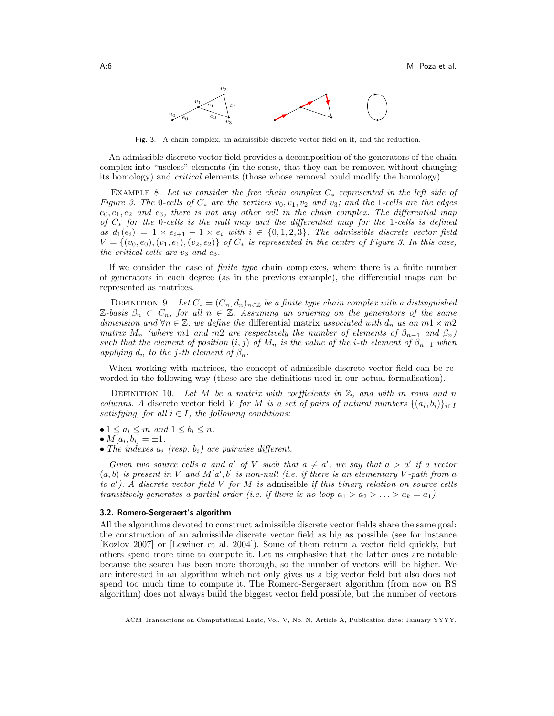

<span id="page-5-0"></span>Fig. 3. A chain complex, an admissible discrete vector field on it, and the reduction.

An admissible discrete vector field provides a decomposition of the generators of the chain complex into "useless" elements (in the sense, that they can be removed without changing its homology) and critical elements (those whose removal could modify the homology).

EXAMPLE 8. Let us consider the free chain complex  $C_*$  represented in the left side of Figure [3.](#page-5-0) The 0-cells of  $C_*$  are the vertices  $v_0, v_1, v_2$  and  $v_3$ ; and the 1-cells are the edges  $e_0, e_1, e_2$  and  $e_3$ , there is not any other cell in the chain complex. The differential map of  $C_*$  for the 0-cells is the null map and the differential map for the 1-cells is defined as  $d_1(e_i) = 1 \times e_{i+1} - 1 \times e_i$  with  $i \in \{0, 1, 2, 3\}$ . The admissible discrete vector field  $V = \{(v_0, e_0), (v_1, e_1), (v_2, e_2)\}\;$  of  $C_*$  is represented in the centre of Figure [3.](#page-5-0) In this case, the critical cells are  $v_3$  and  $e_3$ .

If we consider the case of finite type chain complexes, where there is a finite number of generators in each degree (as in the previous example), the differential maps can be represented as matrices.

DEFINITION 9. Let  $C_* = (C_n, d_n)_{n \in \mathbb{Z}}$  be a finite type chain complex with a distinguished Z-basis  $\beta_n \subset C_n$ , for all  $n \in \mathbb{Z}$ . Assuming an ordering on the generators of the same dimension and  $\forall n \in \mathbb{Z}$ , we define the differential matrix associated with  $d_n$  as an  $m1 \times m2$ matrix  $M_n$  (where m1 and m2 are respectively the number of elements of  $\beta_{n-1}$  and  $\beta_n$ ) such that the element of position  $(i, j)$  of  $M_n$  is the value of the i-th element of  $\beta_{n-1}$  when applying  $d_n$  to the j-th element of  $\beta_n$ .

When working with matrices, the concept of admissible discrete vector field can be reworded in the following way (these are the definitions used in our actual formalisation).

<span id="page-5-1"></span>DEFINITION 10. Let M be a matrix with coefficients in  $\mathbb{Z}$ , and with m rows and n columns. A discrete vector field V for M is a set of pairs of natural numbers  $\{(a_i, b_i)\}_{i \in I}$ satisfying, for all  $i \in I$ , the following conditions:

•  $1 \le a_i \le m$  and  $1 \le b_i \le n$ .

$$
\bullet M[a_i,b_i] = \pm 1.
$$

• The indexes  $a_i$  (resp.  $b_i$ ) are pairwise different.

Given two source cells a and a' of V such that  $a \neq a'$ , we say that  $a > a'$  if a vector  $(a, b)$  is present in V and  $M[a', b]$  is non-null (i.e. if there is an elementary V-path from a to  $a'$ ). A discrete vector field V for M is admissible if this binary relation on source cells transitively generates a partial order (i.e. if there is no loop  $a_1 > a_2 > \ldots > a_k = a_1$ ).

### 3.2. Romero-Sergeraert's algorithm

All the algorithms devoted to construct admissible discrete vector fields share the same goal: the construction of an admissible discrete vector field as big as possible (see for instance [\[Kozlov 2007\]](#page-21-13) or [\[Lewiner et al. 2004\]](#page-21-14)). Some of them return a vector field quickly, but others spend more time to compute it. Let us emphasize that the latter ones are notable because the search has been more thorough, so the number of vectors will be higher. We are interested in an algorithm which not only gives us a big vector field but also does not spend too much time to compute it. The Romero-Sergeraert algorithm (from now on RS algorithm) does not always build the biggest vector field possible, but the number of vectors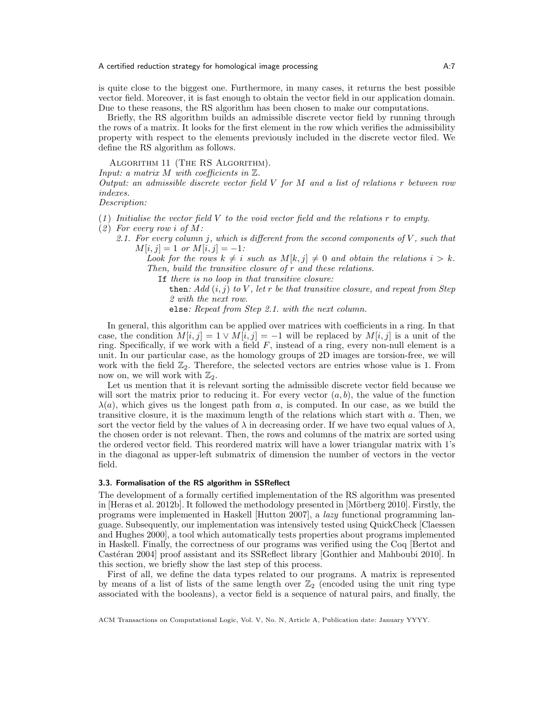is quite close to the biggest one. Furthermore, in many cases, it returns the best possible vector field. Moreover, it is fast enough to obtain the vector field in our application domain. Due to these reasons, the RS algorithm has been chosen to make our computations.

Briefly, the RS algorithm builds an admissible discrete vector field by running through the rows of a matrix. It looks for the first element in the row which verifies the admissibility property with respect to the elements previously included in the discrete vector filed. We define the RS algorithm as follows.

ALGORITHM 11 (THE RS ALGORITHM).

Input: a matrix  $M$  with coefficients in  $\mathbb{Z}$ .

Output: an admissible discrete vector field  $V$  for  $M$  and a list of relations r between row indexes.

Description:

- $(1)$  Initialise the vector field V to the void vector field and the relations r to empty.
- $(2)$  For every row i of M:
	- 2.1. For every column j, which is different from the second components of  $V$ , such that  $M[i, j] = 1 \text{ or } M[i, j] = -1$ :

Look for the rows  $k \neq i$  such as  $M[k, j] \neq 0$  and obtain the relations  $i > k$ . Then, build the transitive closure of r and these relations.

If there is no loop in that transitive closure:

then: Add  $(i, j)$  to V, let r be that transitive closure, and repeat from Step 2 with the next row.

else: Repeat from Step 2.1. with the next column.

In general, this algorithm can be applied over matrices with coefficients in a ring. In that case, the condition  $M[i, j] = 1 \vee M[i, j] = -1$  will be replaced by  $M[i, j]$  is a unit of the ring. Specifically, if we work with a field  $F$ , instead of a ring, every non-null element is a unit. In our particular case, as the homology groups of 2D images are torsion-free, we will work with the field  $\mathbb{Z}_2$ . Therefore, the selected vectors are entries whose value is 1. From now on, we will work with  $\mathbb{Z}_2$ .

Let us mention that it is relevant sorting the admissible discrete vector field because we will sort the matrix prior to reducing it. For every vector  $(a, b)$ , the value of the function  $\lambda(a)$ , which gives us the longest path from a, is computed. In our case, as we build the transitive closure, it is the maximum length of the relations which start with a. Then, we sort the vector field by the values of  $\lambda$  in decreasing order. If we have two equal values of  $\lambda$ , the chosen order is not relevant. Then, the rows and columns of the matrix are sorted using the ordered vector field. This reordered matrix will have a lower triangular matrix with 1's in the diagonal as upper-left submatrix of dimension the number of vectors in the vector field.

## <span id="page-6-0"></span>3.3. Formalisation of the RS algorithm in SSReflect

The development of a formally certified implementation of the RS algorithm was presented in [\[Heras et al. 2012b\]](#page-21-15). It followed the methodology presented in [Mörtberg 2010]. Firstly, the programs were implemented in Haskell [\[Hutton 2007\]](#page-21-2), a lazy functional programming language. Subsequently, our implementation was intensively tested using QuickCheck [\[Claessen](#page-20-8) [and Hughes 2000\]](#page-20-8), a tool which automatically tests properties about programs implemented in Haskell. Finally, the correctness of our programs was verified using the Coq [\[Bertot and](#page-20-0) Castéran 2004] proof assistant and its SSReflect library [\[Gonthier and Mahboubi 2010\]](#page-20-6). In this section, we briefly show the last step of this process.

First of all, we define the data types related to our programs. A matrix is represented by means of a list of lists of the same length over  $\mathbb{Z}_2$  (encoded using the unit ring type associated with the booleans), a vector field is a sequence of natural pairs, and finally, the

ACM Transactions on Computational Logic, Vol. V, No. N, Article A, Publication date: January YYYY.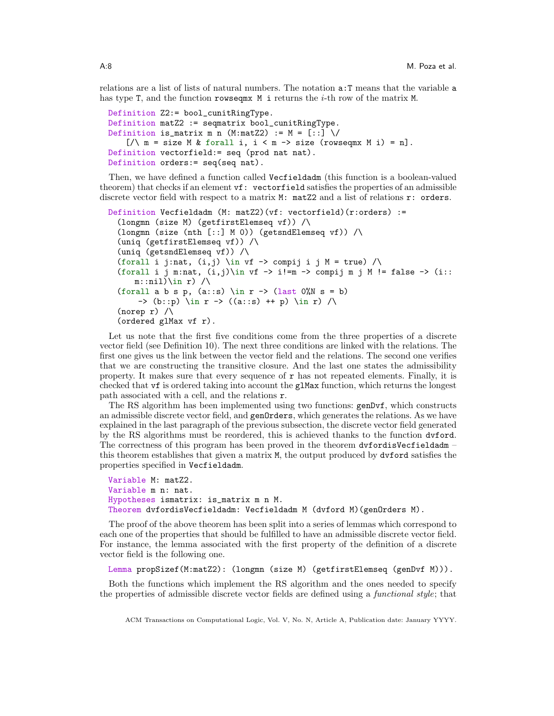relations are a list of lists of natural numbers. The notation a:T means that the variable a has type T, and the function rowseqmx  $M$  i returns the *i*-th row of the matrix  $M$ .

```
Definition Z2:= bool_cunitRingType.
Definition matZ2 := seqmatrix bool_cunitRingType.
Definition is_matrix m n (M:matZ2) := M = [\because] \setminus[\sqrt{m} = \text{size} \ M \ \& \ \text{for all} \ i, \ i < m \rightarrow \text{size} \ (\text{rowseqm} \ X \ i) = n].Definition vectorfield:= seq (prod nat nat).
Definition orders:= seq(seq nat).
```
Then, we have defined a function called Vecfieldadm (this function is a boolean-valued theorem) that checks if an element vf: vectorfield satisfies the properties of an admissible discrete vector field with respect to a matrix M: matZ2 and a list of relations r: orders.

```
Definition Vecfieldadm (M: matZ2)(vf: vectorfield)(r:orders) :=
  (longmn (size M) (getfirstElemseq vf)) /\
  (longmn (size (nth [::] M 0)) (getsndElemseq vf)) /\sqrt{ }(uniq (getfirstElemseq vf)) /\
  (uniq (getsndElemseq vf)) /\
  (forall i j:nat, (i, j) \in vf -> compij i j M = true) \wedge(forall i j m:nat, (i,j)) in vf \rightarrow i!=m \rightarrow compij m j M != false \rightarrow (i::
      m:nil)\in r /
  (forall a b s p, (a::s) \in r -> (last 0''N s = b)
      -> (b::p) \in r -> ((a::s) ++ p) \in r) /\
  (norep r) /\
  (ordered glMax vf r).
```
Let us note that the first five conditions come from the three properties of a discrete vector field (see Definition [10\)](#page-5-1). The next three conditions are linked with the relations. The first one gives us the link between the vector field and the relations. The second one verifies that we are constructing the transitive closure. And the last one states the admissibility property. It makes sure that every sequence of  $r$  has not repeated elements. Finally, it is checked that vf is ordered taking into account the glMax function, which returns the longest path associated with a cell, and the relations r.

The RS algorithm has been implemented using two functions: genDvf, which constructs an admissible discrete vector field, and genOrders, which generates the relations. As we have explained in the last paragraph of the previous subsection, the discrete vector field generated by the RS algorithms must be reordered, this is achieved thanks to the function dvford. The correctness of this program has been proved in the theorem dvfordisVecfieldadm – this theorem establishes that given a matrix M, the output produced by dvford satisfies the properties specified in Vecfieldadm.

```
Variable M: matZ2.
Variable m n: nat.
Hypotheses ismatrix: is_matrix m n M.
Theorem dvfordisVecfieldadm: Vecfieldadm M (dvford M)(genOrders M).
```
The proof of the above theorem has been split into a series of lemmas which correspond to each one of the properties that should be fulfilled to have an admissible discrete vector field. For instance, the lemma associated with the first property of the definition of a discrete vector field is the following one.

Lemma propSizef(M:matZ2): (longmn (size M) (getfirstElemseq (genDvf M))).

Both the functions which implement the RS algorithm and the ones needed to specify the properties of admissible discrete vector fields are defined using a functional style; that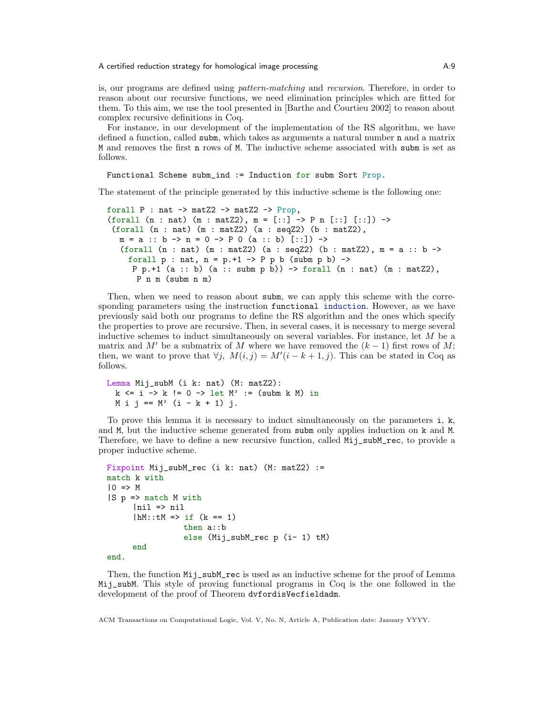is, our programs are defined using pattern-matching and recursion. Therefore, in order to reason about our recursive functions, we need elimination principles which are fitted for them. To this aim, we use the tool presented in [\[Barthe and Courtieu 2002\]](#page-20-13) to reason about complex recursive definitions in Coq.

For instance, in our development of the implementation of the RS algorithm, we have defined a function, called subm, which takes as arguments a natural number n and a matrix M and removes the first n rows of M. The inductive scheme associated with subm is set as follows.

```
Functional Scheme subm_ind := Induction for subm Sort Prop.
```
The statement of the principle generated by this inductive scheme is the following one:

```
forall P : nat \rightarrow matZ2 \rightarrow matZ2 \rightarrow Prop,
(forall (n : nat) (m : matZ2), m = [\because] \rightarrow P n [\because] [\because]) ->
 (forall (n : nat) (m : matZ2) (a : seqZ2) (b : matZ2),
   m = a :: b \rightarrow n = 0 \rightarrow P 0 (a :: b) [::]) \rightarrow(forall (n : nat) (m : matZ2) (a : seqZ2) (b : matZ2), m = a :: b ->
     forall p : nat, n = p.+1 -> P p b (subm p b) ->
      P p.+1 (a :: b) (a :: subm p b)) \rightarrow forall (n : nat) (m : matZ2),
       P n m (subm n m)
```
Then, when we need to reason about subm, we can apply this scheme with the corresponding parameters using the instruction functional induction. However, as we have previously said both our programs to define the RS algorithm and the ones which specify the properties to prove are recursive. Then, in several cases, it is necessary to merge several inductive schemes to induct simultaneously on several variables. For instance, let M be a matrix and M' be a submatrix of M where we have removed the  $(k - 1)$  first rows of M; then, we want to prove that  $\forall j$ ,  $M(i, j) = M'(i - k + 1, j)$ . This can be stated in Coq as follows.

```
Lemma Mij_subM (i k: nat) (M: matZ2):
 k \le i \Rightarrow k != 0 -> let M' := (subm k M) in
 M i j == M' (i - k + 1) j.
```
To prove this lemma it is necessary to induct simultaneously on the parameters i, k, and M, but the inductive scheme generated from subm only applies induction on k and M. Therefore, we have to define a new recursive function, called Mij\_subM\_rec, to provide a proper inductive scheme.

```
Fixpoint Mij_subM_rec (i k: nat) (M: matZ2) :=
match k with
|0 \implies M|S p => match M with
      |ni1 \Rightarrow ni1|hM::tM \Rightarrow if (k == 1)then a::b
                  else (Mij_subM_rec p (i- 1) tM)
      end
end.
```
Then, the function  $Mij$ **\_subM\_rec** is used as an inductive scheme for the proof of Lemma Mij\_subM. This style of proving functional programs in Coq is the one followed in the development of the proof of Theorem dvfordisVecfieldadm.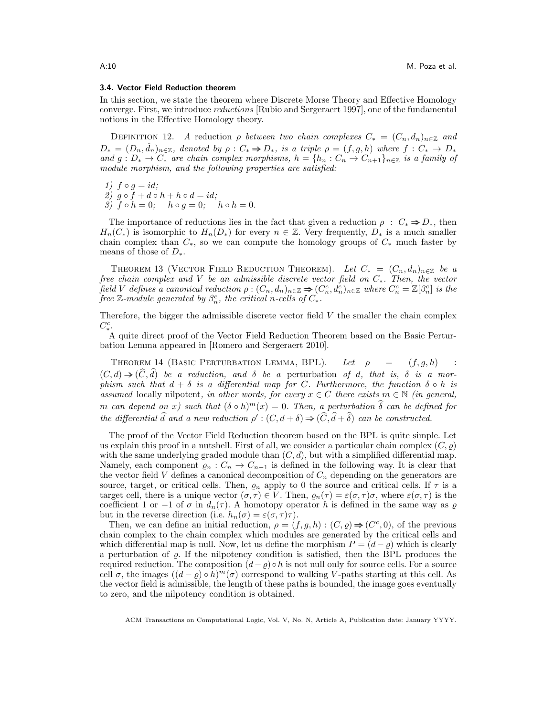### 3.4. Vector Field Reduction theorem

In this section, we state the theorem where Discrete Morse Theory and Effective Homology converge. First, we introduce reductions [\[Rubio and Sergeraert 1997\]](#page-21-17), one of the fundamental notions in the Effective Homology theory.

<span id="page-9-1"></span>DEFINITION 12. A reduction  $\rho$  between two chain complexes  $C_* = (C_n, d_n)_{n \in \mathbb{Z}}$  and  $D_* = (D_n, \hat{d}_n)_{n \in \mathbb{Z}}$ , denoted by  $\rho : C_* \Rightarrow D_*,$  is a triple  $\rho = (f, g, h)$  where  $f : C_* \to D_*$ and  $g: D_* \to C_*$  are chain complex morphisms,  $h = \{h_n: C_n \to C_{n+1}\}_{n \in \mathbb{Z}}$  is a family of module morphism, and the following properties are satisfied:

1)  $f \circ g = id;$ 

2) 
$$
g \circ f + d \circ h + h \circ d = id;
$$

3)  $f \circ h = 0;$   $h \circ g = 0;$   $h \circ h = 0.$ 

The importance of reductions lies in the fact that given a reduction  $\rho : C_* \Rightarrow D_*$ , then  $H_n(C_*)$  is isomorphic to  $H_n(D_*)$  for every  $n \in \mathbb{Z}$ . Very frequently,  $D_*$  is a much smaller chain complex than  $C_*$ , so we can compute the homology groups of  $C_*$  much faster by means of those of  $D_*$ .

<span id="page-9-0"></span>THEOREM 13 (VECTOR FIELD REDUCTION THEOREM). Let  $C_* = (C_n, d_n)_{n \in \mathbb{Z}}$  be a free chain complex and V be an admissible discrete vector field on C∗. Then, the vector field V defines a canonical reduction  $\rho: (C_n, d_n)_{n \in \mathbb{Z}} \Rightarrow (C_n^c, d_n^c)_{n \in \mathbb{Z}}$  where  $C_n^c = \mathbb{Z}[\beta_n^c]$  is the free  $\mathbb Z$ -module generated by  $\beta_n^c$ , the critical n-cells of  $C_*$ .

Therefore, the bigger the admissible discrete vector field  $V$  the smaller the chain complex  $C_{*}^{c}$ .

A quite direct proof of the Vector Field Reduction Theorem based on the Basic Perturbation Lemma appeared in [\[Romero and Sergeraert 2010\]](#page-21-0).

THEOREM 14 (BASIC PERTURBATION LEMMA, BPL). Let  $\rho = (f, g, h)$  :  $(C, d) \Rightarrow (C, d)$  be a reduction, and  $\delta$  be a perturbation of d, that is,  $\delta$  is a mor-<br>phism such that  $d + \delta$  is a differential map for C. Furthermore, the function  $\delta \circ h$  is assumed locally nilpotent, in other words, for every  $x \in C$  there exists  $m \in \mathbb{N}$  (in general, m can depend on x) such that  $(\delta \circ h)^m(x) = 0$ . Then, a perturbation  $\delta$  can be defined for the differential  $\hat{d}$  and a new reduction  $\rho'$ :  $(C, d + \delta) \Rightarrow (\hat{C}, \hat{d} + \hat{\delta})$  can be constructed.

The proof of the Vector Field Reduction theorem based on the BPL is quite simple. Let us explain this proof in a nutshell. First of all, we consider a particular chain complex  $(C, \rho)$ with the same underlying graded module than  $(C, d)$ , but with a simplified differential map. Namely, each component  $\varrho_n : C_n \to C_{n-1}$  is defined in the following way. It is clear that the vector field V defines a canonical decomposition of  $C_n$  depending on the generators are source, target, or critical cells. Then,  $\varrho_n$  apply to 0 the source and critical cells. If  $\tau$  is a target cell, there is a unique vector  $(\sigma, \tau) \in V$ . Then,  $\varrho_n(\tau) = \varepsilon(\sigma, \tau)\sigma$ , where  $\varepsilon(\sigma, \tau)$  is the coefficient 1 or −1 of  $\sigma$  in  $d_n(\tau)$ . A homotopy operator h is defined in the same way as  $\varrho$ but in the reverse direction (i.e.  $h_n(\sigma) = \varepsilon(\sigma, \tau)\tau$ ).

Then, we can define an initial reduction,  $\rho = (f, g, h) : (C, \varrho) \Rightarrow (C^c, 0)$ , of the previous chain complex to the chain complex which modules are generated by the critical cells and which differential map is null. Now, let us define the morphism  $P = (d - \rho)$  which is clearly a perturbation of  $\rho$ . If the nilpotency condition is satisfied, then the BPL produces the required reduction. The composition  $(d-q) \circ h$  is not null only for source cells. For a source cell  $\sigma$ , the images  $((d - \varrho) \circ \bar{h})^m(\sigma)$  correspond to walking V-paths starting at this cell. As the vector field is admissible, the length of these paths is bounded, the image goes eventually to zero, and the nilpotency condition is obtained.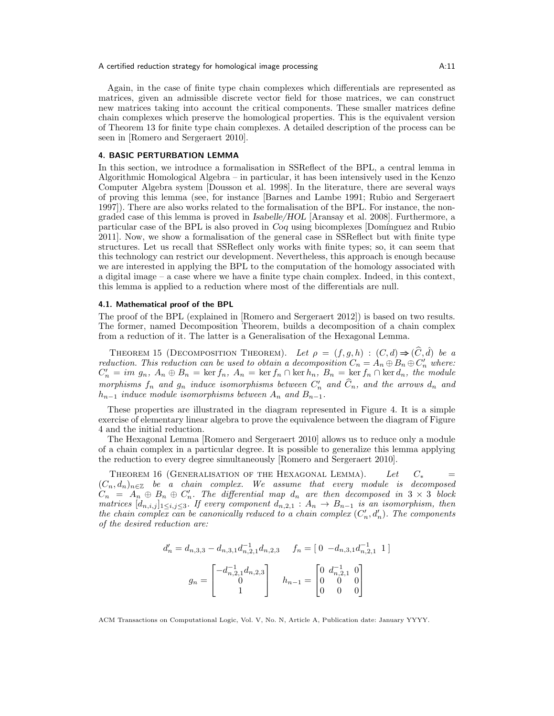Again, in the case of finite type chain complexes which differentials are represented as matrices, given an admissible discrete vector field for those matrices, we can construct new matrices taking into account the critical components. These smaller matrices define chain complexes which preserve the homological properties. This is the equivalent version of Theorem [13](#page-9-0) for finite type chain complexes. A detailed description of the process can be seen in [\[Romero and Sergeraert 2010\]](#page-21-0).

## <span id="page-10-0"></span>4. BASIC PERTURBATION LEMMA

In this section, we introduce a formalisation in SSReflect of the BPL, a central lemma in Algorithmic Homological Algebra – in particular, it has been intensively used in the Kenzo Computer Algebra system [\[Dousson et al. 1998\]](#page-20-14). In the literature, there are several ways of proving this lemma (see, for instance [\[Barnes and Lambe 1991;](#page-20-15) [Rubio and Sergeraert](#page-21-17) [1997\]](#page-21-17)). There are also works related to the formalisation of the BPL. For instance, the nongraded case of this lemma is proved in Isabelle/HOL [\[Aransay et al. 2008\]](#page-20-5). Furthermore, a particular case of the BPL is also proved in Coq using bicomplexes [Domínguez and Rubio] [2011\]](#page-20-16). Now, we show a formalisation of the general case in SSReflect but with finite type structures. Let us recall that SSReflect only works with finite types; so, it can seem that this technology can restrict our development. Nevertheless, this approach is enough because we are interested in applying the BPL to the computation of the homology associated with a digital image – a case where we have a finite type chain complex. Indeed, in this context, this lemma is applied to a reduction where most of the differentials are null.

### <span id="page-10-1"></span>4.1. Mathematical proof of the BPL

The proof of the BPL (explained in [\[Romero and Sergeraert 2012\]](#page-21-1)) is based on two results. The former, named Decomposition Theorem, builds a decomposition of a chain complex from a reduction of it. The latter is a Generalisation of the Hexagonal Lemma.

<span id="page-10-2"></span>THEOREM 15 (DECOMPOSITION THEOREM). Let  $\rho = (f, g, h) : (C, d) \Rightarrow (\widehat{C}, \widehat{d})$  be a reduction. This reduction can be used to obtain a decomposition  $C_n = A_n \oplus B_n \oplus C'_n$  where:  $C'_n = im\ g_n$ ,  $A_n \oplus B_n = \ker f_n$ ,  $A_n = \ker f_n \cap \ker h_n$ ,  $B_n = \ker f_n \cap \ker d_n$ , the module morphisms  $f_n$  and  $g_n$  induce isomorphisms between  $C'_n$  and  $\widehat{C}_n$ , and the arrows  $d_n$  and  $h_{n-1}$  induce module isomorphisms between  $A_n$  and  $B_{n-1}$ .

These properties are illustrated in the diagram represented in Figure [4.](#page-11-0) It is a simple exercise of elementary linear algebra to prove the equivalence between the diagram of Figure [4](#page-11-0) and the initial reduction.

The Hexagonal Lemma [\[Romero and Sergeraert 2010\]](#page-21-0) allows us to reduce only a module of a chain complex in a particular degree. It is possible to generalize this lemma applying the reduction to every degree simultaneously [\[Romero and Sergeraert 2010\]](#page-21-0).

<span id="page-10-3"></span>THEOREM 16 (GENERALISATION OF THE HEXAGONAL LEMMA). Let  $C_*$  $(C_n, d_n)_{n\in\mathbb{Z}}$  be a chain complex. We assume that every module is decomposed  $C_n = A_n \oplus B_n \oplus C'_n$ . The differential map  $d_n$  are then decomposed in  $3 \times 3$  block matrices  $[d_{n,i,j}]_{1\leq i,j\leq 3}$ . If every component  $d_{n,2,1}: A_n \to B_{n-1}$  is an isomorphism, then the chain complex can be canonically reduced to a chain complex  $(C'_n, d'_n)$ . The components of the desired reduction are:

$$
d'_{n} = d_{n,3,3} - d_{n,3,1}d_{n,2,1}^{-1}d_{n,2,3} \t f_{n} = \begin{bmatrix} 0 & -d_{n,3,1}d_{n,2,1}^{-1} & 1 \end{bmatrix}
$$

$$
g_{n} = \begin{bmatrix} -d_{n,2,1}^{-1}d_{n,2,3} \\ 0 \\ 1 \end{bmatrix} \t h_{n-1} = \begin{bmatrix} 0 & d_{n,2,1}^{-1} & 0 \\ 0 & 0 & 0 \\ 0 & 0 & 0 \end{bmatrix}
$$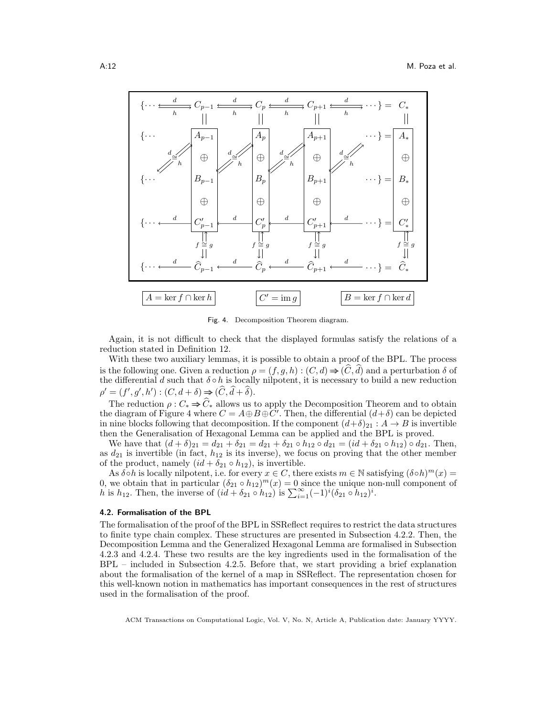

<span id="page-11-0"></span>Fig. 4. Decomposition Theorem diagram.

Again, it is not difficult to check that the displayed formulas satisfy the relations of a reduction stated in Definition [12.](#page-9-1)

With these two auxiliary lemmas, it is possible to obtain a proof of the BPL. The process is the following one. Given a reduction  $\rho = (f, g, h) : (C, d) \Rightarrow (\tilde{C}, d)$  and a perturbation  $\delta$  of the differential d such that  $\delta \circ h$  is locally nilpotent, it is necessary to build a new reduction  $\rho' = (f', g', h') : (C, d + \delta) \Rightarrow (\widehat{C}, \widehat{d} + \widehat{\delta}).$ 

The reduction  $\rho: C_* \Rightarrow \widehat{C}_*$  allows us to apply the Decomposition Theorem and to obtain the diagram of Figure [4](#page-11-0) where  $C = A \oplus B \oplus C'$ . Then, the differential  $(d+\delta)$  can be depicted in nine blocks following that decomposition. If the component  $(d+\delta)_{21} : A \to B$  is invertible then the Generalisation of Hexagonal Lemma can be applied and the BPL is proved.

We have that  $(d + \delta)_{21} = d_{21} + \delta_{21} = d_{21} + \delta_{21} \circ h_{12} \circ d_{21} = (id + \delta_{21} \circ h_{12}) \circ d_{21}$ . Then, as  $d_{21}$  is invertible (in fact,  $h_{12}$  is its inverse), we focus on proving that the other member of the product, namely  $(id + \delta_{21} \circ h_{12})$ , is invertible.

As  $\delta \circ h$  is locally nilpotent, i.e. for every  $x \in C$ , there exists  $m \in \mathbb{N}$  satisfying  $(\delta \circ h)^m(x) =$ 0, we obtain that in particular  $(\delta_{21} \circ h_{12})^m(x) = 0$  since the unique non-null component of h is  $h_{12}$ . Then, the inverse of  $(id + \delta_{21} \circ h_{12})$  is  $\sum_{i=1}^{\infty} (-1)^i (\delta_{21} \circ h_{12})^i$ .

### 4.2. Formalisation of the BPL

The formalisation of the proof of the BPL in SSReflect requires to restrict the data structures to finite type chain complex. These structures are presented in Subsection [4.2.2.](#page-12-0) Then, the Decomposition Lemma and the Generalized Hexagonal Lemma are formalised in Subsection [4.2.3](#page-13-0) and [4.2.4.](#page-14-0) These two results are the key ingredients used in the formalisation of the BPL – included in Subsection [4.2.5.](#page-14-1) Before that, we start providing a brief explanation about the formalisation of the kernel of a map in SSReflect. The representation chosen for this well-known notion in mathematics has important consequences in the rest of structures used in the formalisation of the proof.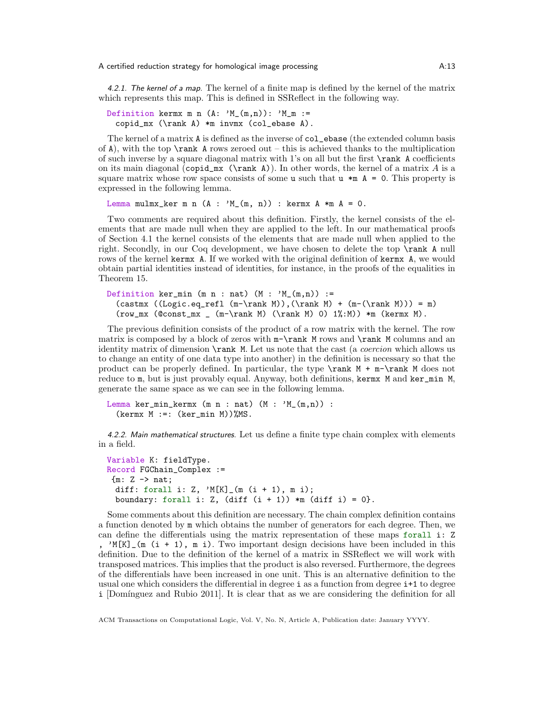4.2.1. The kernel of a map. The kernel of a finite map is defined by the kernel of the matrix which represents this map. This is defined in SSReflect in the following way.

Definition kermx m n  $(A: 'M_{m,m})$ : 'M\_m := copid\_mx (\rank A) \*m invmx (col\_ebase A).

The kernel of a matrix A is defined as the inverse of col\_ebase (the extended column basis of A), with the top  $\rank A$  rows zeroed out – this is achieved thanks to the multiplication of such inverse by a square diagonal matrix with 1's on all but the first \rank A coefficients on its main diagonal (copid\_mx  $(\mathrm{rank} \, A)$ ). In other words, the kernel of a matrix A is a square matrix whose row space consists of some u such that  $u *m A = 0$ . This property is expressed in the following lemma.

Lemma mulmx\_ker m n  $(A : 'M_{(m, n)})$  : kermx  $A *m A = 0$ .

Two comments are required about this definition. Firstly, the kernel consists of the elements that are made null when they are applied to the left. In our mathematical proofs of Section [4.1](#page-10-1) the kernel consists of the elements that are made null when applied to the right. Secondly, in our Coq development, we have chosen to delete the top \rank A null rows of the kernel kermx A. If we worked with the original definition of kermx A, we would obtain partial identities instead of identities, for instance, in the proofs of the equalities in Theorem [15.](#page-10-2)

```
Definition ker_min (m n : nat) (M : 'M_-(m,n)) :=
  (\text{cast} (\text{Logic}.eq\_refl (m-\rank M)),(\text{rank} M) + (m-(\text{rank} M))) = m)(row_mx (Qconst_mx (m-\rank M) (\rank M) 0) 1% :M)) *m (kermx M).
```
The previous definition consists of the product of a row matrix with the kernel. The row matrix is composed by a block of zeros with  $m-\rank M$  rows and  $\rank M$  columns and an identity matrix of dimension \rank M. Let us note that the cast (a coercion which allows us to change an entity of one data type into another) in the definition is necessary so that the product can be properly defined. In particular, the type  $\rank M + m-\rank M$  does not reduce to m, but is just provably equal. Anyway, both definitions, kermx M and ker\_min M, generate the same space as we can see in the following lemma.

```
Lemma ker_min_kermx (m n : nat) (M : 'M_-(m,n)) :
  \text{Kermx } M :=: \text{Ker\_min } M) %MS.
```
<span id="page-12-0"></span>4.2.2. Main mathematical structures. Let us define a finite type chain complex with elements in a field.

```
Variable K: fieldType.
Record FGChain_Complex :=
 {m: Z \rightarrow nat;}diff: forall i: Z, 'M[K]_{m} (m (i + 1), m i);boundary: forall i: Z, (diff (i + 1)) *m (diff i) = 0.
```
Some comments about this definition are necessary. The chain complex definition contains a function denoted by m which obtains the number of generators for each degree. Then, we can define the differentials using the matrix representation of these maps forall i: Z ,  $^{\prime}$ M[K] (m (i + 1), m i). Two important design decisions have been included in this definition. Due to the definition of the kernel of a matrix in SSReflect we will work with transposed matrices. This implies that the product is also reversed. Furthermore, the degrees of the differentials have been increased in one unit. This is an alternative definition to the usual one which considers the differential in degree i as a function from degree i+1 to degree i [Domínguez and Rubio 2011]. It is clear that as we are considering the definition for all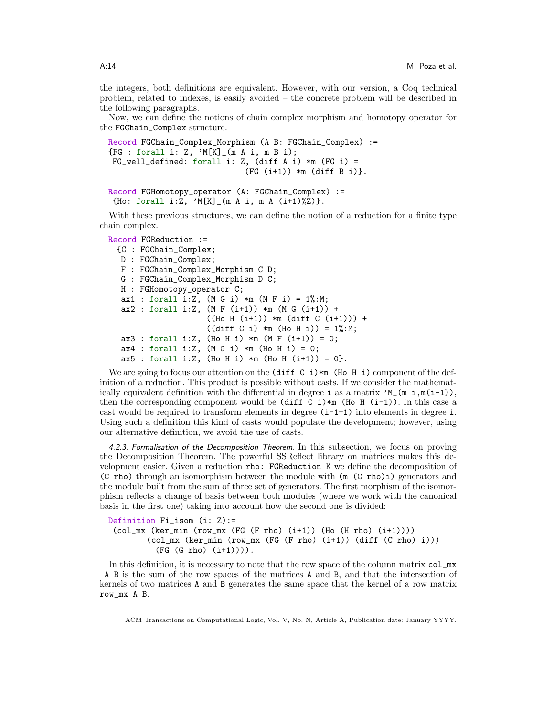the integers, both definitions are equivalent. However, with our version, a Coq technical problem, related to indexes, is easily avoided – the concrete problem will be described in the following paragraphs.

Now, we can define the notions of chain complex morphism and homotopy operator for the FGChain\_Complex structure.

```
Record FGChain_Complex_Morphism (A B: FGChain_Complex) :=
{FG : forall i: Z, 'M[K]_{m}}(m A i, m B i);FG_{well\_defined}: forall i: Z, (diff A i) *m (FG i) =
                              (FG (i+1)) * m (diff B i).
```

```
Record FGHomotopy_operator (A: FGChain_Complex) :=
 {Ho: forall i:Z, 'M[K]_(m A i, m A (i+1)%Z)}.
```
With these previous structures, we can define the notion of a reduction for a finite type chain complex.

```
Record FGReduction :=
```

```
{C : FGChain_Complex;
D : FGChain_Complex;
F : FGChain_Complex_Morphism C D;
G : FGChain_Complex_Morphism D C;
H : FGHomotopy_operator C;
ax1 : forall i:Z, (M G i) *m (M F i) = 1%:M;
ax2 : for all i:Z, (M F (i+1)) *m (M G (i+1)) +((Ho H (i+1)) *m (diff C (i+1))) +((diff C i) *m (Ho H i)) = 1%:M;
ax3 : forall i:Z, (Ho H i) *m (M F (i+1)) = 0;ax4 : for all i:Z, (M G i) *m (Ho H i) = 0;ax5 : for all i:Z, (Ho H i) *m (Ho H (i+1)) = 0.
```
We are going to focus our attention on the  $\text{diff } C \text{ i}$   $\text{*m}$  (Ho H i) component of the definition of a reduction. This product is possible without casts. If we consider the mathematically equivalent definition with the differential in degree i as a matrix  $M(m i, m(i-1))$ , then the corresponding component would be  $(\text{diff } C_i) *_{m} (\text{Ho } H_i(i-1))$ . In this case a cast would be required to transform elements in degree  $(i-1+1)$  into elements in degree i. Using such a definition this kind of casts would populate the development; however, using our alternative definition, we avoid the use of casts.

<span id="page-13-0"></span>4.2.3. Formalisation of the Decomposition Theorem. In this subsection, we focus on proving the Decomposition Theorem. The powerful SSReflect library on matrices makes this development easier. Given a reduction rho: FGReduction K we define the decomposition of (C rho) through an isomorphism between the module with (m (C rho)i) generators and the module built from the sum of three set of generators. The first morphism of the isomorphism reflects a change of basis between both modules (where we work with the canonical basis in the first one) taking into account how the second one is divided:

Definition Fi\_isom (i: Z):=  $\text{(col_mx (ker_min (row_mx (FG (F rho) (i+1)) (Ho (H rho) (i+1))))}$ (col\_mx (ker\_min (row\_mx (FG (F rho) (i+1)) (diff (C rho) i))) (FG (G rho) (i+1)))).

In this definition, it is necessary to note that the row space of the column matrix col\_mx A B is the sum of the row spaces of the matrices A and B, and that the intersection of kernels of two matrices A and B generates the same space that the kernel of a row matrix row\_mx A B.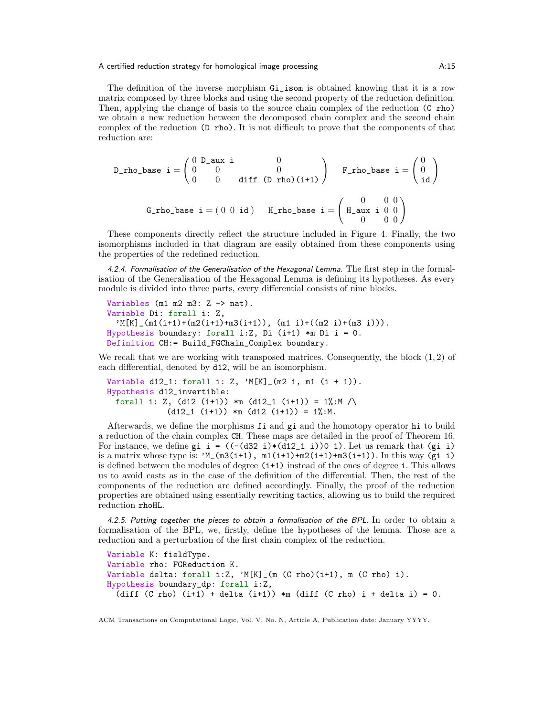The definition of the inverse morphism Gi\_isom is obtained knowing that it is a row matrix composed by three blocks and using the second property of the reduction definition. Then, applying the change of basis to the source chain complex of the reduction (C rho) we obtain a new reduction between the decomposed chain complex and the second chain complex of the reduction (D rho). It is not difficult to prove that the components of that reduction are:

D\_rho\_base i = 
$$
\begin{pmatrix} 0 & D_aux & i & 0 \\ 0 & 0 & 0 \\ 0 & 0 & \text{diff } (D \text{ rho})(i+1) \end{pmatrix}
$$
 F\_rho\_base i =  $\begin{pmatrix} 0 \\ 0 \\ id \end{pmatrix}$   
G\_rho\_base i = (0 0 id) H\_rho\_base i =  $\begin{pmatrix} 0 & 0 & 0 \\ H_aux & i & 0 & 0 \\ 0 & 0 & 0 & 0 \end{pmatrix}$ 

These components directly reflect the structure included in Figure [4.](#page-11-0) Finally, the two isomorphisms included in that diagram are easily obtained from these components using the properties of the redefined reduction.

<span id="page-14-0"></span>4.2.4. Formalisation of the Generalisation of the Hexagonal Lemma. The first step in the formalisation of the Generalisation of the Hexagonal Lemma is defining its hypotheses. As every module is divided into three parts, every differential consists of nine blocks.

```
Variables (m1 m2 m3: Z \rightarrow nat).
Variable Di: forall i: Z,
  \gamma M[K]_{-}(m1(i+1)+(m2(i+1)+m3(i+1)), (m1 i)+((m2 i)+(m3 i)).
Hypothesis boundary: forall i:Z, Di (i+1) *m Di i = 0.
Definition CH:= Build_FGChain_Complex boundary.
```
We recall that we are working with transposed matrices. Consequently, the block  $(1, 2)$  of each differential, denoted by d12, will be an isomorphism.

```
Variable d12_1: forall i: Z, M[K] (m2 i, m1 (i + 1)).Hypothesis d12_invertible:
 forall i: Z, (d12 (i+1)) *m (d12_1 (i+1)) = 1%:M /\
            (d12_1 (i+1)) *m (d12 (i+1)) = 1%:M.
```
Afterwards, we define the morphisms fi and gi and the homotopy operator hi to build a reduction of the chain complex CH. These maps are detailed in the proof of Theorem [16.](#page-10-3) For instance, we define gi i =  $((-d32 i)*(d12_i i))0 1)$ . Let us remark that  $(gi i)$ is a matrix whose type is:  $^{\prime}M_{m}(m3(i+1), m1(i+1)+m2(i+1)+m3(i+1))$ . In this way (gi i) is defined between the modules of degree (i+1) instead of the ones of degree i. This allows us to avoid casts as in the case of the definition of the differential. Then, the rest of the components of the reduction are defined accordingly. Finally, the proof of the reduction properties are obtained using essentially rewriting tactics, allowing us to build the required reduction rhoHL.

<span id="page-14-1"></span>4.2.5. Putting together the pieces to obtain a formalisation of the BPL. In order to obtain a formalisation of the BPL, we, firstly, define the hypotheses of the lemma. Those are a reduction and a perturbation of the first chain complex of the reduction.

```
Variable K: fieldType.
Variable rho: FGReduction K.
Variable delta: forall i:Z, M[K]_{m} (C rho)(i+1), m (C rho) i).
Hypothesis boundary_dp: forall i:Z,
  (diff (C rho) (i+1) + delta (i+1)) *m (diff (C rho) i + delta i) = 0.
```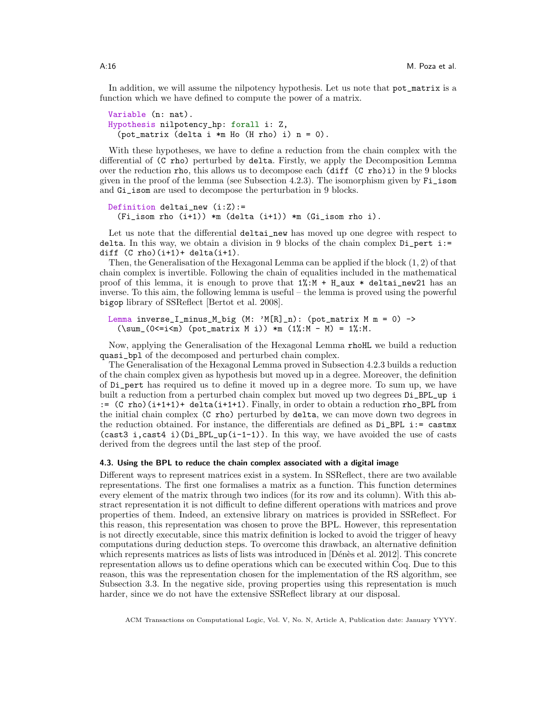In addition, we will assume the nilpotency hypothesis. Let us note that pot\_matrix is a function which we have defined to compute the power of a matrix.

```
Variable (n: nat).
Hypothesis nilpotency_hp: forall i: Z,
  (pot_matrix (delta i *m Ho (H rho) i) n = 0).
```
With these hypotheses, we have to define a reduction from the chain complex with the differential of (C rho) perturbed by delta. Firstly, we apply the Decomposition Lemma over the reduction rho, this allows us to decompose each (diff (C rho)i) in the 9 blocks given in the proof of the lemma (see Subsection [4.2.3\)](#page-13-0). The isomorphism given by Fi\_isom and Gi\_isom are used to decompose the perturbation in 9 blocks.

```
Definition deltai_new (i:Z):=
  (Fi_isom rho (i+1)) *m (delta (i+1)) *m (Gi_isom rho i).
```
Let us note that the differential deltai\_new has moved up one degree with respect to delta. In this way, we obtain a division in 9 blocks of the chain complex  $Di$ -pert  $i$ : diff  $(C \text{rho})(i+1)+delta(i+1)$ .

Then, the Generalisation of the Hexagonal Lemma can be applied if the block (1, 2) of that chain complex is invertible. Following the chain of equalities included in the mathematical proof of this lemma, it is enough to prove that  $1\%$ : M + H\_aux  $*$  deltai\_new21 has an inverse. To this aim, the following lemma is useful – the lemma is proved using the powerful bigop library of SSReflect [\[Bertot et al. 2008\]](#page-20-17).

```
Lemma inverse_I_minus_M_big (M: 'M[R]_n): (pot_matrix M m = 0) ->
  (\sum_{s=1}^{\infty} (0 \leq i \leq m) (pot_matrix M i)) *m (1\% : M - M) = 1\% : M.
```
Now, applying the Generalisation of the Hexagonal Lemma rhoHL we build a reduction quasi\_bpl of the decomposed and perturbed chain complex.

The Generalisation of the Hexagonal Lemma proved in Subsection [4.2.3](#page-13-0) builds a reduction of the chain complex given as hypothesis but moved up in a degree. Moreover, the definition of Di\_pert has required us to define it moved up in a degree more. To sum up, we have built a reduction from a perturbed chain complex but moved up two degrees Di\_BPL\_up i := (C rho)(i+1+1)+ delta(i+1+1). Finally, in order to obtain a reduction rho\_BPL from the initial chain complex (C rho) perturbed by delta, we can move down two degrees in the reduction obtained. For instance, the differentials are defined as Di\_BPL i:= castmx (cast3 i,cast4 i)( $Di_BPL_up(i-1-1)$ ). In this way, we have avoided the use of casts derived from the degrees until the last step of the proof.

### 4.3. Using the BPL to reduce the chain complex associated with a digital image

Different ways to represent matrices exist in a system. In SSReflect, there are two available representations. The first one formalises a matrix as a function. This function determines every element of the matrix through two indices (for its row and its column). With this abstract representation it is not difficult to define different operations with matrices and prove properties of them. Indeed, an extensive library on matrices is provided in SSReflect. For this reason, this representation was chosen to prove the BPL. However, this representation is not directly executable, since this matrix definition is locked to avoid the trigger of heavy computations during deduction steps. To overcome this drawback, an alternative definition which represents matrices as lists of lists was introduced in  $[D\acute{e}n\grave{e}s]$  et al. 2012]. This concrete representation allows us to define operations which can be executed within Coq. Due to this reason, this was the representation chosen for the implementation of the RS algorithm, see Subsection [3.3.](#page-6-0) In the negative side, proving properties using this representation is much harder, since we do not have the extensive SSReflect library at our disposal.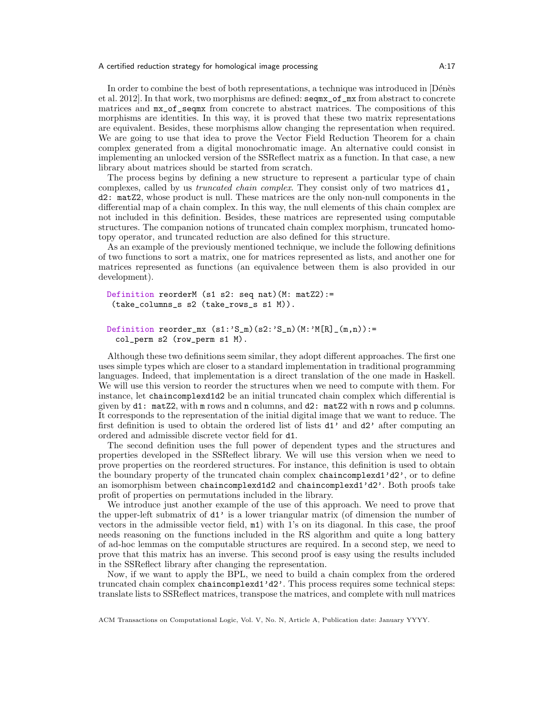In order to combine the best of both representations, a technique was introduced in [Dénès [et al. 2012\]](#page-20-18). In that work, two morphisms are defined: seqmx\_of\_mx from abstract to concrete matrices and mx\_of\_seqmx from concrete to abstract matrices. The compositions of this morphisms are identities. In this way, it is proved that these two matrix representations are equivalent. Besides, these morphisms allow changing the representation when required. We are going to use that idea to prove the Vector Field Reduction Theorem for a chain complex generated from a digital monochromatic image. An alternative could consist in implementing an unlocked version of the SSReflect matrix as a function. In that case, a new library about matrices should be started from scratch.

The process begins by defining a new structure to represent a particular type of chain complexes, called by us truncated chain complex. They consist only of two matrices d1, d2: matZ2, whose product is null. These matrices are the only non-null components in the differential map of a chain complex. In this way, the null elements of this chain complex are not included in this definition. Besides, these matrices are represented using computable structures. The companion notions of truncated chain complex morphism, truncated homotopy operator, and truncated reduction are also defined for this structure.

As an example of the previously mentioned technique, we include the following definitions of two functions to sort a matrix, one for matrices represented as lists, and another one for matrices represented as functions (an equivalence between them is also provided in our development).

```
Definition reorderM (s1 s2: seq nat)(M: matZ2):=
 (take_columns_s s2 (take_rows_s s1 M)).
```

```
Definition reorder_mx (s1:{}^{,}S_{-m})(s2:{}^{,}S_{-n})(M:{}^{,}M[R]_{-}(m,n)) :=
  col_perm s2 (row_perm s1 M).
```
Although these two definitions seem similar, they adopt different approaches. The first one uses simple types which are closer to a standard implementation in traditional programming languages. Indeed, that implementation is a direct translation of the one made in Haskell. We will use this version to reorder the structures when we need to compute with them. For instance, let chaincomplexd1d2 be an initial truncated chain complex which differential is given by d1: matZ2, with m rows and n columns, and d2: matZ2 with n rows and p columns. It corresponds to the representation of the initial digital image that we want to reduce. The first definition is used to obtain the ordered list of lists d1' and d2' after computing an ordered and admissible discrete vector field for d1.

The second definition uses the full power of dependent types and the structures and properties developed in the SSReflect library. We will use this version when we need to prove properties on the reordered structures. For instance, this definition is used to obtain the boundary property of the truncated chain complex chaincomplexd1'd2', or to define an isomorphism between chaincomplexd1d2 and chaincomplexd1'd2'. Both proofs take profit of properties on permutations included in the library.

We introduce just another example of the use of this approach. We need to prove that the upper-left submatrix of d1' is a lower triangular matrix (of dimension the number of vectors in the admissible vector field, m1) with 1's on its diagonal. In this case, the proof needs reasoning on the functions included in the RS algorithm and quite a long battery of ad-hoc lemmas on the computable structures are required. In a second step, we need to prove that this matrix has an inverse. This second proof is easy using the results included in the SSReflect library after changing the representation.

Now, if we want to apply the BPL, we need to build a chain complex from the ordered truncated chain complex chaincomplexd1'd2'. This process requires some technical steps: translate lists to SSReflect matrices, transpose the matrices, and complete with null matrices

ACM Transactions on Computational Logic, Vol. V, No. N, Article A, Publication date: January YYYY.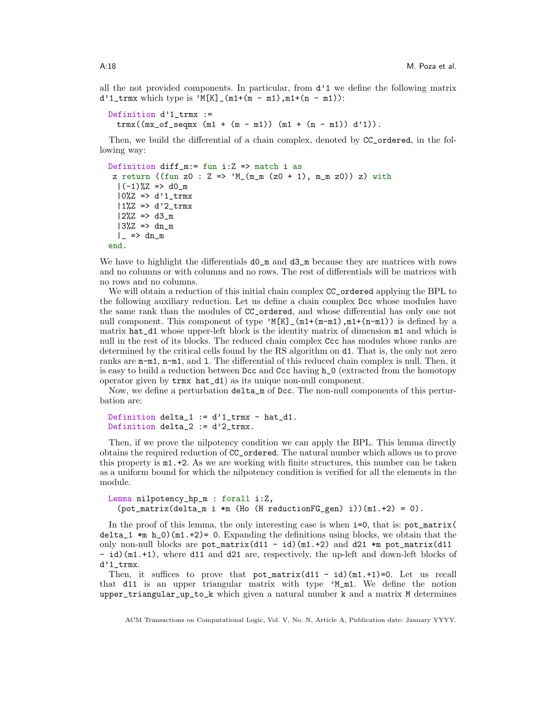all the not provided components. In particular, from  $d^{\prime}1$  we define the following matrix  $d'1$ \_trmx which type is 'M[K]\_(m1+(m - m1),m1+(n - m1)):

```
Definition d'1_trmx :=
 trmx((mx_of_seqmx (m1 + (m - m1)) (m1 + (n - m1)) d')).
```
Then, we build the differential of a chain complex, denoted by CC\_ordered, in the following way:

```
Definition diff_m:= fun i:Z => match i as
 z return ((fun z0 : Z => ^{\prime}M_(m_m (z0 + 1), m_m z0)) z) with
  |(-1)\%Z \implies d0_m|0\rangle Z => d'1_trmx
  |1\%Z \implies d'2_Ltrmx
  |2\%Z \implies d3_m|3\%Z| \Rightarrow dn_m\vert => dn_m
end.
```
We have to highlight the differentials  $dO_m$  and  $d3_m$  because they are matrices with rows and no columns or with columns and no rows. The rest of differentials will be matrices with no rows and no columns.

We will obtain a reduction of this initial chain complex  $CC$  ordered applying the BPL to the following auxiliary reduction. Let us define a chain complex Dcc whose modules have the same rank than the modules of CC\_ordered, and whose differential has only one not null component. This component of type  $^{\prime}$ M[K]<sub>-</sub>(m1+(m-m1),m1+(n-m1)) is defined by a matrix hat\_d1 whose upper-left block is the identity matrix of dimension m1 and which is null in the rest of its blocks. The reduced chain complex Ccc has modules whose ranks are determined by the critical cells found by the RS algorithm on d1. That is, the only not zero ranks are  $m-m1$ ,  $n-m1$ , and 1. The differential of this reduced chain complex is null. Then, it is easy to build a reduction between Dcc and Ccc having h\_0 (extracted from the homotopy operator given by trmx hat\_d1) as its unique non-null component.

Now, we define a perturbation delta\_m of Dcc. The non-null components of this perturbation are:

```
Definition delta_1 := d'1_trmx - hat_d1.
Definition delta_2 := d'2_trmx.
```
Then, if we prove the nilpotency condition we can apply the BPL. This lemma directly obtains the required reduction of CC\_ordered. The natural number which allows us to prove this property is m1.+2. As we are working with finite structures, this number can be taken as a uniform bound for which the nilpotency condition is verified for all the elements in the module.

```
Lemma nilpotency_hp_m : forall i:Z,
  (\text{pot\_matrix}(delta_m \text{ i } *m \text{ (Ho (H reductionFG\_gen) i)})(m1.+2) = 0).
```
In the proof of this lemma, the only interesting case is when  $i=0$ , that is:  $pot_matrix($ delta<sub>1</sub>  $\ast$ m h<sub>1</sub>0)(m1.+2)= 0. Expanding the definitions using blocks, we obtain that the only non-null blocks are  $pot_matrix(d11 - id)(m1.+2)$  and d21  $*m$  pot\_matrix(d11 - id)(m1.+1), where d11 and d21 are, respectively, the up-left and down-left blocks of d'1\_trmx.

Then, it suffices to prove that  $pot_matrix(d11 - id)(m1.+1)=0$ . Let us recall that d11 is an upper triangular matrix with type 'M\_m1. We define the notion upper\_triangular\_up\_to\_k which given a natural number k and a matrix M determines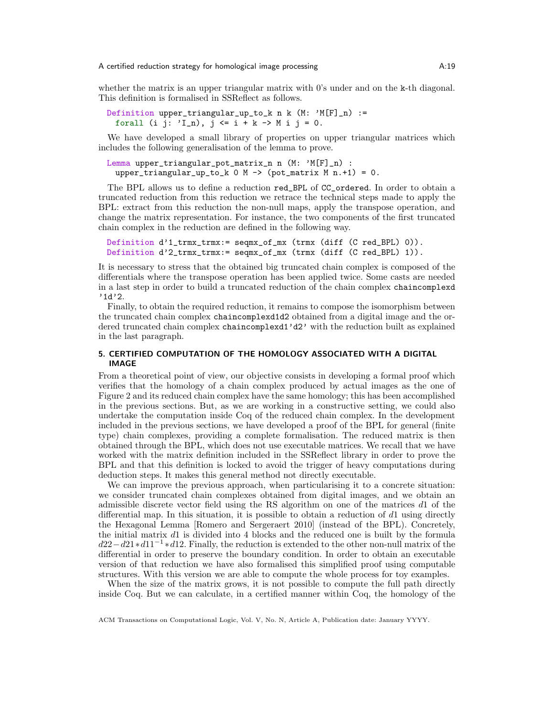whether the matrix is an upper triangular matrix with 0's under and on the k-th diagonal. This definition is formalised in SSReflect as follows.

Definition upper\_triangular\_up\_to\_k n k  $(M: 'M[F]_n)$  := forall (i j:  $'L_n$ ),  $j \le i + k \Rightarrow M i j = 0$ .

We have developed a small library of properties on upper triangular matrices which includes the following generalisation of the lemma to prove.

```
Lemma upper_triangular_pot_matrix_n n (M: 'M[F]_n) :
 upper_triangular_up_to_k 0 M \rightarrow (pot_matrix M n.+1) = 0.
```
The BPL allows us to define a reduction red\_BPL of CC\_ordered. In order to obtain a truncated reduction from this reduction we retrace the technical steps made to apply the BPL: extract from this reduction the non-null maps, apply the transpose operation, and change the matrix representation. For instance, the two components of the first truncated chain complex in the reduction are defined in the following way.

```
Definition d'1_trmx_trmx:= seqmx_of_mx (trmx (diff (C red_BPL) 0)).
Definition d'2_trmx_trmx:= seqmx_of_mx (trmx (diff (C red_BPL) 1)).
```
It is necessary to stress that the obtained big truncated chain complex is composed of the differentials where the transpose operation has been applied twice. Some casts are needed in a last step in order to build a truncated reduction of the chain complex chaincomplexd '1d'2.

Finally, to obtain the required reduction, it remains to compose the isomorphism between the truncated chain complex chaincomplexd1d2 obtained from a digital image and the ordered truncated chain complex chaincomplexd1'd2' with the reduction built as explained in the last paragraph.

## <span id="page-18-0"></span>5. CERTIFIED COMPUTATION OF THE HOMOLOGY ASSOCIATED WITH A DIGITAL IMAGE

From a theoretical point of view, our objective consists in developing a formal proof which verifies that the homology of a chain complex produced by actual images as the one of Figure [2](#page-3-1) and its reduced chain complex have the same homology; this has been accomplished in the previous sections. But, as we are working in a constructive setting, we could also undertake the computation inside Coq of the reduced chain complex. In the development included in the previous sections, we have developed a proof of the BPL for general (finite type) chain complexes, providing a complete formalisation. The reduced matrix is then obtained through the BPL, which does not use executable matrices. We recall that we have worked with the matrix definition included in the SSReflect library in order to prove the BPL and that this definition is locked to avoid the trigger of heavy computations during deduction steps. It makes this general method not directly executable.

We can improve the previous approach, when particularising it to a concrete situation: we consider truncated chain complexes obtained from digital images, and we obtain an admissible discrete vector field using the RS algorithm on one of the matrices d1 of the differential map. In this situation, it is possible to obtain a reduction of  $d_1$  using directly the Hexagonal Lemma [\[Romero and Sergeraert 2010\]](#page-21-0) (instead of the BPL). Concretely, the initial matrix d1 is divided into 4 blocks and the reduced one is built by the formula  $d22-d21*d11^{-1}*d12$ . Finally, the reduction is extended to the other non-null matrix of the differential in order to preserve the boundary condition. In order to obtain an executable version of that reduction we have also formalised this simplified proof using computable structures. With this version we are able to compute the whole process for toy examples.

When the size of the matrix grows, it is not possible to compute the full path directly inside Coq. But we can calculate, in a certified manner within Coq, the homology of the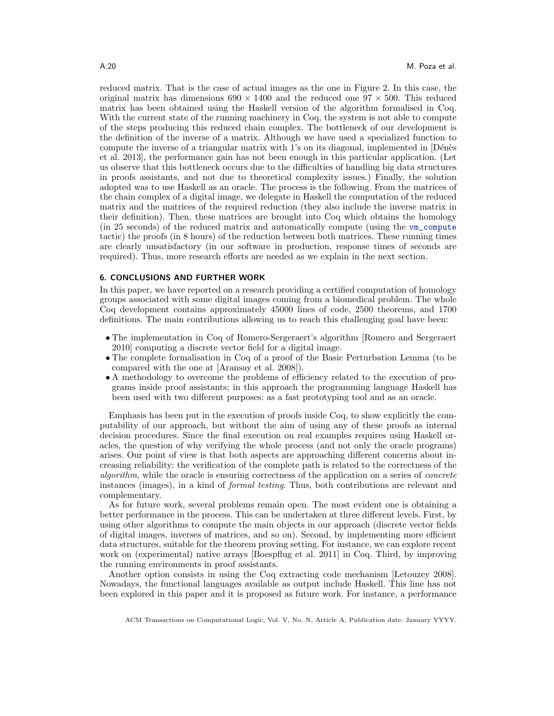reduced matrix. That is the case of actual images as the one in Figure [2.](#page-3-1) In this case, the original matrix has dimensions  $690 \times 1400$  and the reduced one  $97 \times 500$ . This reduced matrix has been obtained using the Haskell version of the algorithm formalised in Coq. With the current state of the running machinery in Coq, the system is not able to compute of the steps producing this reduced chain complex. The bottleneck of our development is the definition of the inverse of a matrix. Although we have used a specialized function to compute the inverse of a triangular matrix with  $1$ 's on its diagonal, implemented in  $[D\acute{e}n\acute{e}s]$ [et al. 2013\]](#page-20-19), the performance gain has not been enough in this particular application. (Let us observe that this bottleneck occurs due to the difficulties of handling big data structures in proofs assistants, and not due to theoretical complexity issues.) Finally, the solution adopted was to use Haskell as an oracle. The process is the following. From the matrices of the chain complex of a digital image, we delegate in Haskell the computation of the reduced matrix and the matrices of the required reduction (they also include the inverse matrix in their definition). Then, these matrices are brought into Coq which obtains the homology (in 25 seconds) of the reduced matrix and automatically compute (using the vm\_compute tactic) the proofs (in 8 hours) of the reduction between both matrices. These running times are clearly unsatisfactory (in our software in production, response times of seconds are required). Thus, more research efforts are needed as we explain in the next section.

## 6. CONCLUSIONS AND FURTHER WORK

In this paper, we have reported on a research providing a certified computation of homology groups associated with some digital images coming from a biomedical problem. The whole Coq development contains approximately 45000 lines of code, 2500 theorems, and 1700 definitions. The main contributions allowing us to reach this challenging goal have been:

- The implementation in Coq of Romero-Sergeraert's algorithm [\[Romero and Sergeraert](#page-21-0) [2010\]](#page-21-0) computing a discrete vector field for a digital image.
- The complete formalisation in Coq of a proof of the Basic Perturbation Lemma (to be compared with the one at [\[Aransay et al. 2008\]](#page-20-5)).
- A methodology to overcome the problems of efficiency related to the execution of programs inside proof assistants; in this approach the programming language Haskell has been used with two different purposes: as a fast prototyping tool and as an oracle.

Emphasis has been put in the execution of proofs inside Coq, to show explicitly the computability of our approach, but without the aim of using any of these proofs as internal decision procedures. Since the final execution on real examples requires using Haskell oracles, the question of why verifying the whole process (and not only the oracle programs) arises. Our point of view is that both aspects are approaching different concerns about increasing reliability: the verification of the complete path is related to the correctness of the algorithm, while the oracle is ensuring correctness of the application on a series of concrete instances (images), in a kind of formal testing. Thus, both contributions are relevant and complementary.

As for future work, several problems remain open. The most evident one is obtaining a better performance in the process. This can be undertaken at three different levels. First, by using other algorithms to compute the main objects in our approach (discrete vector fields of digital images, inverses of matrices, and so on). Second, by implementing more efficient data structures, suitable for the theorem proving setting. For instance, we can explore recent work on (experimental) native arrays [\[Boespflug et al. 2011\]](#page-20-20) in Coq. Third, by improving the running environments in proof assistants.

Another option consists in using the Coq extracting code mechanism [\[Letouzey 2008\]](#page-21-18). Nowadays, the functional languages available as output include Haskell. This line has not been explored in this paper and it is proposed as future work. For instance, a performance

ACM Transactions on Computational Logic, Vol. V, No. N, Article A, Publication date: January YYYY.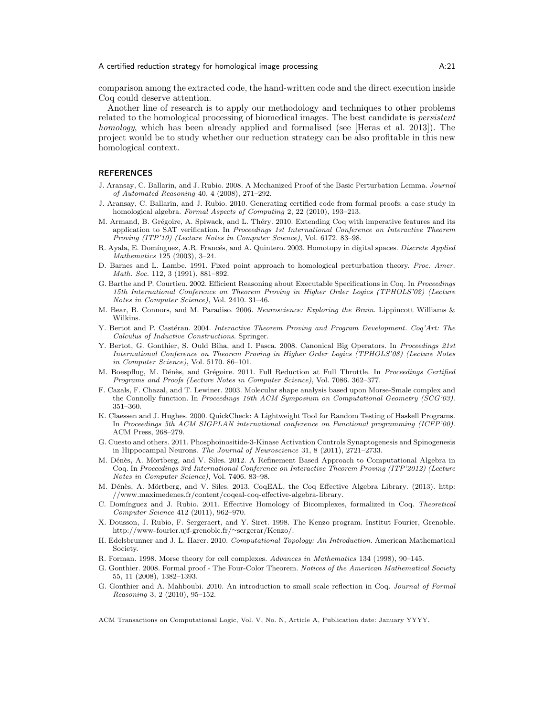comparison among the extracted code, the hand-written code and the direct execution inside Coq could deserve attention.

Another line of research is to apply our methodology and techniques to other problems related to the homological processing of biomedical images. The best candidate is persistent homology, which has been already applied and formalised (see [\[Heras et al. 2013\]](#page-21-19)). The project would be to study whether our reduction strategy can be also profitable in this new homological context.

## **REFERENCES**

- <span id="page-20-5"></span>J. Aransay, C. Ballarin, and J. Rubio. 2008. A Mechanized Proof of the Basic Perturbation Lemma. Journal of Automated Reasoning 40, 4 (2008), 271–292.
- <span id="page-20-7"></span>J. Aransay, C. Ballarin, and J. Rubio. 2010. Generating certified code from formal proofs: a case study in homological algebra. Formal Aspects of Computing 2, 22 (2010), 193–213.
- <span id="page-20-11"></span>M. Armand, B. Grégoire, A. Spiwack, and L. Théry. 2010. Extending Coq with imperative features and its application to SAT verification. In Proceedings 1st International Conference on Interactive Theorem Proving (ITP'10) (Lecture Notes in Computer Science), Vol. 6172. 83–98.
- <span id="page-20-3"></span>R. Ayala, E. Domínguez, A.R. Francés, and A. Quintero. 2003. Homotopy in digital spaces. Discrete Applied Mathematics 125 (2003), 3–24.
- <span id="page-20-15"></span>D. Barnes and L. Lambe. 1991. Fixed point approach to homological perturbation theory. Proc. Amer. Math. Soc. 112, 3 (1991), 881–892.
- <span id="page-20-13"></span>G. Barthe and P. Courtieu. 2002. Efficient Reasoning about Executable Specifications in Coq. In Proceedings 15th International Conference on Theorem Proving in Higher Order Logics (TPHOLS'02) (Lecture Notes in Computer Science), Vol. 2410. 31–46.
- <span id="page-20-10"></span>M. Bear, B. Connors, and M. Paradiso. 2006. Neuroscience: Exploring the Brain. Lippincott Williams & Wilkins.
- <span id="page-20-0"></span>Y. Bertot and P. Castéran. 2004. Interactive Theorem Proving and Program Development. Coq'Art: The Calculus of Inductive Constructions. Springer.
- <span id="page-20-17"></span>Y. Bertot, G. Gonthier, S. Ould Biha, and I. Pasca. 2008. Canonical Big Operators. In Proceedings 21st International Conference on Theorem Proving in Higher Order Logics (TPHOLS'08) (Lecture Notes in Computer Science), Vol. 5170. 86–101.
- <span id="page-20-20"></span>M. Boespflug, M. Dénès, and Grégoire. 2011. Full Reduction at Full Throttle. In Proceedings Certified Programs and Proofs (Lecture Notes in Computer Science), Vol. 7086. 362–377.
- <span id="page-20-12"></span>F. Cazals, F. Chazal, and T. Lewiner. 2003. Molecular shape analysis based upon Morse-Smale complex and the Connolly function. In Proceedings 19th ACM Symposium on Computational Geometry (SCG'03). 351–360.
- <span id="page-20-8"></span>K. Claessen and J. Hughes. 2000. QuickCheck: A Lightweight Tool for Random Testing of Haskell Programs. In Proceedings 5th ACM SIGPLAN international conference on Functional programming (ICFP'00). ACM Press, 268–279.
- <span id="page-20-1"></span>G. Cuesto and others. 2011. Phosphoinositide-3-Kinase Activation Controls Synaptogenesis and Spinogenesis in Hippocampal Neurons. The Journal of Neuroscience 31, 8 (2011), 2721–2733.
- <span id="page-20-18"></span>M. Dénès, A. Mörtberg, and V. Siles. 2012. A Refinement Based Approach to Computational Algebra in Coq. In Proceedings 3rd International Conference on Interactive Theorem Proving (ITP'2012) (Lecture Notes in Computer Science), Vol. 7406. 83–98.
- <span id="page-20-19"></span>M. Dénès, A. Mörtberg, and V. Siles. 2013. CoqEAL, the Coq Effective Algebra Library. (2013). [http:](http://www.maximedenes.fr/content/coqeal-coq-effective-algebra-library) [//www.maximedenes.fr/content/coqeal-coq-effective-algebra-library.](http://www.maximedenes.fr/content/coqeal-coq-effective-algebra-library)
- <span id="page-20-16"></span>C. Domínguez and J. Rubio. 2011. Effective Homology of Bicomplexes, formalized in Coq. Theoretical Computer Science 412 (2011), 962–970.
- <span id="page-20-14"></span>X. Dousson, J. Rubio, F. Sergeraert, and Y. Siret. 1998. The Kenzo program. Institut Fourier, Grenoble. [http://www-fourier.ujf-grenoble.fr/](http://www-fourier.ujf-grenoble.fr/~sergerar/Kenzo/)∼sergerar/Kenzo/.
- <span id="page-20-2"></span>H. Edelsbrunner and J. L. Harer. 2010. Computational Topology: An Introduction. American Mathematical Society.
- <span id="page-20-4"></span>R. Forman. 1998. Morse theory for cell complexes. Advances in Mathematics 134 (1998), 90–145.
- <span id="page-20-9"></span>G. Gonthier. 2008. Formal proof - The Four-Color Theorem. Notices of the American Mathematical Society 55, 11 (2008), 1382–1393.
- <span id="page-20-6"></span>G. Gonthier and A. Mahboubi. 2010. An introduction to small scale reflection in Coq. Journal of Formal Reasoning 3, 2 (2010), 95–152.